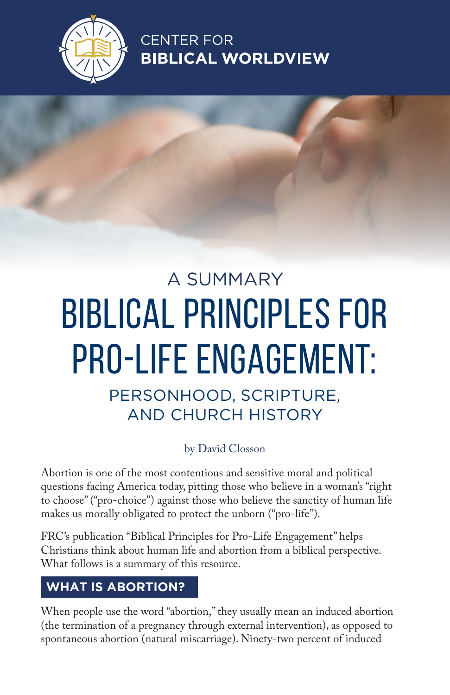

**CENTER FOR BIBLICAL WORLDVIEW** 

# A SUMMARY BIBLICAL PRINCIPLES FOR PRO-LIFE ENGAGEMENT:

PERSONHOOD, SCRIPTURE, AND CHURCH HISTORY

#### by David Closson

Abortion is one of the most contentious and sensitive moral and political questions facing America today, pitting those who believe in a woman's "right to choose" ("pro-choice") against those who believe the sanctity of human life makes us morally obligated to protect the unborn ("pro-life").

FRC's publication "Biblical Principles for Pro-Life Engagement" helps Christians think about human life and abortion from a biblical perspective. What follows is a summary of this resource.

## **WHAT IS ABORTION?**

When people use the word "abortion," they usually mean an induced abortion (the termination of a pregnancy through external intervention), as opposed to spontaneous abortion (natural miscarriage). Ninety-two percent of induced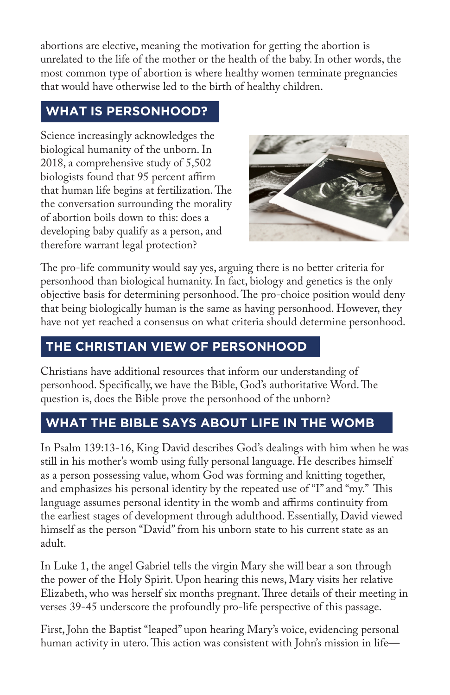abortions are elective, meaning the motivation for getting the abortion is unrelated to the life of the mother or the health of the baby. In other words, the most common type of abortion is where healthy women terminate pregnancies that would have otherwise led to the birth of healthy children.

# **WHAT IS PERSONHOOD?**

Science increasingly acknowledges the biological humanity of the unborn. In 2018, a comprehensive study of 5,502 biologists found that 95 percent affirm that human life begins at fertilization. The the conversation surrounding the morality of abortion boils down to this: does a developing baby qualify as a person, and therefore warrant legal protection?



The pro-life community would say yes, arguing there is no better criteria for personhood than biological humanity. In fact, biology and genetics is the only objective basis for determining personhood. The pro-choice position would deny that being biologically human is the same as having personhood. However, they have not yet reached a consensus on what criteria should determine personhood.

# **THE CHRISTIAN VIEW OF PERSONHOOD**

Christians have additional resources that inform our understanding of personhood. Specifically, we have the Bible, God's authoritative Word. The question is, does the Bible prove the personhood of the unborn?

# **WHAT THE BIBLE SAYS ABOUT LIFE IN THE WOMB**

In Psalm 139:13-16, King David describes God's dealings with him when he was still in his mother's womb using fully personal language. He describes himself as a person possessing value, whom God was forming and knitting together, and emphasizes his personal identity by the repeated use of "I" and "my." This language assumes personal identity in the womb and affirms continuity from the earliest stages of development through adulthood. Essentially, David viewed himself as the person "David" from his unborn state to his current state as an adult.

In Luke 1, the angel Gabriel tells the virgin Mary she will bear a son through the power of the Holy Spirit. Upon hearing this news, Mary visits her relative Elizabeth, who was herself six months pregnant. Three details of their meeting in verses 39-45 underscore the profoundly pro-life perspective of this passage.

First, John the Baptist "leaped" upon hearing Mary's voice, evidencing personal human activity in utero. This action was consistent with John's mission in life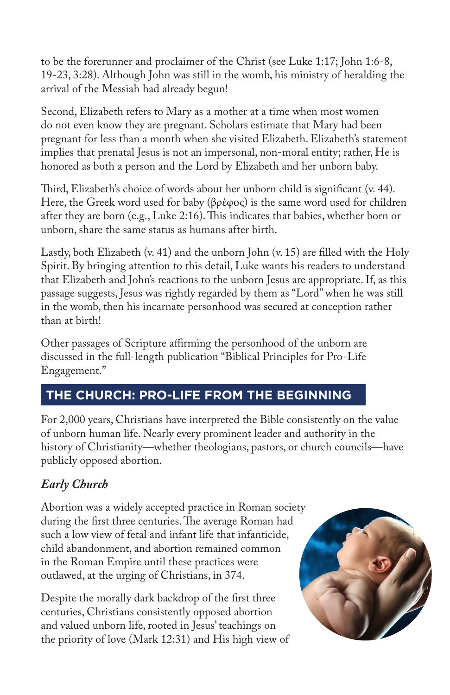to be the forerunner and proclaimer of the Christ (see Luke 1:17; John 1:6-8, 19-23, 3:28). Although John was still in the womb, his ministry of heralding the arrival of the Messiah had already begun!

Second, Elizabeth refers to Mary as a mother at a time when most women do not even know they are pregnant. Scholars estimate that Mary had been pregnant for less than a month when she visited Elizabeth. Elizabeth's statement implies that prenatal Jesus is not an impersonal, non-moral entity; rather, He is honored as both a person and the Lord by Elizabeth and her unborn baby.

Third, Elizabeth's choice of words about her unborn child is significant (v. 44). Here, the Greek word used for baby (βρέφος) is the same word used for children after they are born (e.g., Luke 2:16). This indicates that babies, whether born or unborn, share the same status as humans after birth.

Lastly, both Elizabeth (v. 41) and the unborn John (v. 15) are filled with the Holy Spirit. By bringing attention to this detail, Luke wants his readers to understand that Elizabeth and John's reactions to the unborn Jesus are appropriate. If, as this passage suggests, Jesus was rightly regarded by them as "Lord" when he was still in the womb, then his incarnate personhood was secured at conception rather than at birth!

Other passages of Scripture affirming the personhood of the unborn are discussed in the full-length publication "Biblical Principles for Pro-Life Engagement."

## **THE CHURCH: PRO-LIFE FROM THE BEGINNING**

For 2,000 years, Christians have interpreted the Bible consistently on the value of unborn human life. Nearly every prominent leader and authority in the history of Christianity—whether theologians, pastors, or church councils—have publicly opposed abortion.

### *Early Church*

Abortion was a widely accepted practice in Roman society during the first three centuries. The average Roman had such a low view of fetal and infant life that infanticide, child abandonment, and abortion remained common in the Roman Empire until these practices were outlawed, at the urging of Christians, in 374.

Despite the morally dark backdrop of the first three centuries, Christians consistently opposed abortion and valued unborn life, rooted in Jesus' teachings on the priority of love (Mark 12:31) and His high view of